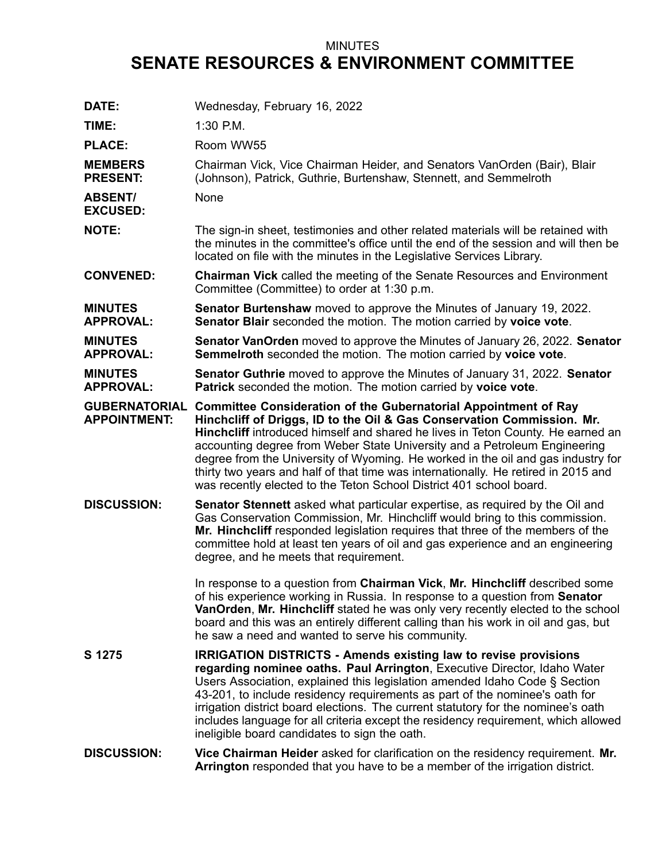## MINUTES **SENATE RESOURCES & ENVIRONMENT COMMITTEE**

| DATE:                              | Wednesday, February 16, 2022                                                                                                                                                                                                                                                                                                                                                                                                                                                                                                                                             |
|------------------------------------|--------------------------------------------------------------------------------------------------------------------------------------------------------------------------------------------------------------------------------------------------------------------------------------------------------------------------------------------------------------------------------------------------------------------------------------------------------------------------------------------------------------------------------------------------------------------------|
| TIME:                              | 1:30 P.M.                                                                                                                                                                                                                                                                                                                                                                                                                                                                                                                                                                |
| <b>PLACE:</b>                      | Room WW55                                                                                                                                                                                                                                                                                                                                                                                                                                                                                                                                                                |
| <b>MEMBERS</b><br><b>PRESENT:</b>  | Chairman Vick, Vice Chairman Heider, and Senators VanOrden (Bair), Blair<br>(Johnson), Patrick, Guthrie, Burtenshaw, Stennett, and Semmelroth                                                                                                                                                                                                                                                                                                                                                                                                                            |
| <b>ABSENT/</b><br><b>EXCUSED:</b>  | None                                                                                                                                                                                                                                                                                                                                                                                                                                                                                                                                                                     |
| <b>NOTE:</b>                       | The sign-in sheet, testimonies and other related materials will be retained with<br>the minutes in the committee's office until the end of the session and will then be<br>located on file with the minutes in the Legislative Services Library.                                                                                                                                                                                                                                                                                                                         |
| <b>CONVENED:</b>                   | <b>Chairman Vick</b> called the meeting of the Senate Resources and Environment<br>Committee (Committee) to order at 1:30 p.m.                                                                                                                                                                                                                                                                                                                                                                                                                                           |
| <b>MINUTES</b><br><b>APPROVAL:</b> | <b>Senator Burtenshaw</b> moved to approve the Minutes of January 19, 2022.<br>Senator Blair seconded the motion. The motion carried by voice vote.                                                                                                                                                                                                                                                                                                                                                                                                                      |
| <b>MINUTES</b><br><b>APPROVAL:</b> | Senator VanOrden moved to approve the Minutes of January 26, 2022. Senator<br>Semmelroth seconded the motion. The motion carried by voice vote.                                                                                                                                                                                                                                                                                                                                                                                                                          |
| <b>MINUTES</b><br><b>APPROVAL:</b> | <b>Senator Guthrie</b> moved to approve the Minutes of January 31, 2022. Senator<br>Patrick seconded the motion. The motion carried by voice vote.                                                                                                                                                                                                                                                                                                                                                                                                                       |
| <b>APPOINTMENT:</b>                | GUBERNATORIAL Committee Consideration of the Gubernatorial Appointment of Ray<br>Hinchcliff of Driggs, ID to the Oil & Gas Conservation Commission. Mr.<br>Hinchcliff introduced himself and shared he lives in Teton County. He earned an<br>accounting degree from Weber State University and a Petroleum Engineering<br>degree from the University of Wyoming. He worked in the oil and gas industry for<br>thirty two years and half of that time was internationally. He retired in 2015 and<br>was recently elected to the Teton School District 401 school board. |
| <b>DISCUSSION:</b>                 | <b>Senator Stennett</b> asked what particular expertise, as required by the Oil and<br>Gas Conservation Commission, Mr. Hinchcliff would bring to this commission.<br>Mr. Hinchcliff responded legislation requires that three of the members of the<br>committee hold at least ten years of oil and gas experience and an engineering<br>degree, and he meets that requirement.                                                                                                                                                                                         |
|                                    | In response to a question from Chairman Vick, Mr. Hinchcliff described some<br>of his experience working in Russia. In response to a question from Senator<br>VanOrden, Mr. Hinchcliff stated he was only very recently elected to the school<br>board and this was an entirely different calling than his work in oil and gas, but<br>he saw a need and wanted to serve his community.                                                                                                                                                                                  |
| S 1275                             | <b>IRRIGATION DISTRICTS - Amends existing law to revise provisions</b><br>regarding nominee oaths. Paul Arrington, Executive Director, Idaho Water<br>Users Association, explained this legislation amended Idaho Code § Section<br>43-201, to include residency requirements as part of the nominee's oath for<br>irrigation district board elections. The current statutory for the nominee's oath<br>includes language for all criteria except the residency requirement, which allowed<br>ineligible board candidates to sign the oath.                              |
| <b>DISCUSSION:</b>                 | Vice Chairman Heider asked for clarification on the residency requirement. Mr.<br>Arrington responded that you have to be a member of the irrigation district.                                                                                                                                                                                                                                                                                                                                                                                                           |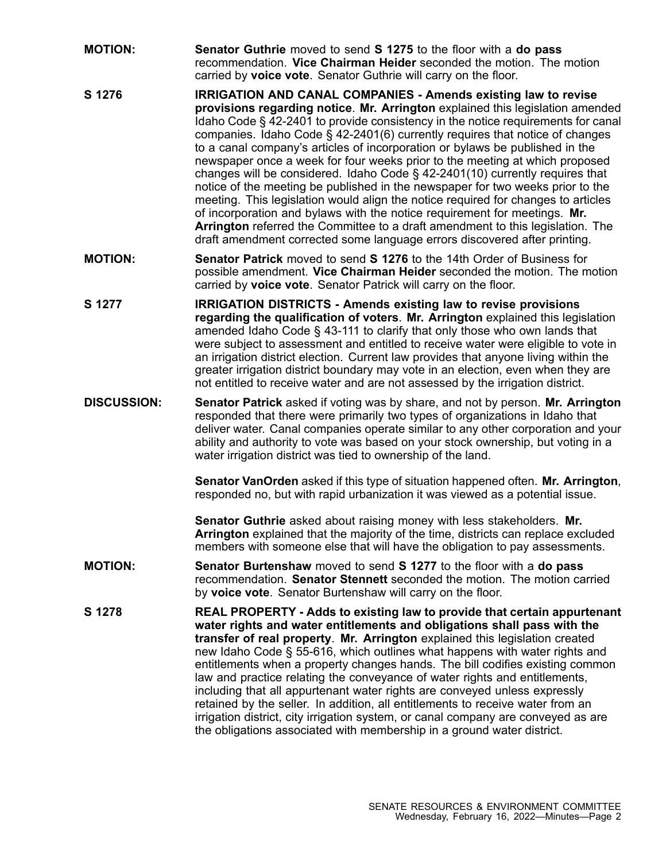- **MOTION: Senator Guthrie** moved to send **S 1275** to the floor with <sup>a</sup> **do pass** recommendation. **Vice Chairman Heider** seconded the motion. The motion carried by **voice vote**. Senator Guthrie will carry on the floor.
- **S 1276 IRRIGATION AND CANAL COMPANIES - Amends existing law to revise provisions regarding notice**. **Mr. Arrington** explained this legislation amended Idaho Code § 42-2401 to provide consistency in the notice requirements for canal companies. Idaho Code § 42-2401(6) currently requires that notice of changes to <sup>a</sup> canal company's articles of incorporation or bylaws be published in the newspaper once <sup>a</sup> week for four weeks prior to the meeting at which proposed changes will be considered. Idaho Code § 42-2401(10) currently requires that notice of the meeting be published in the newspaper for two weeks prior to the meeting. This legislation would align the notice required for changes to articles of incorporation and bylaws with the notice requirement for meetings. **Mr. Arrington** referred the Committee to <sup>a</sup> draft amendment to this legislation. The draft amendment corrected some language errors discovered after printing.
- **MOTION: Senator Patrick** moved to send **S 1276** to the 14th Order of Business for possible amendment. **Vice Chairman Heider** seconded the motion. The motion carried by **voice vote**. Senator Patrick will carry on the floor.
- **S 1277 IRRIGATION DISTRICTS - Amends existing law to revise provisions regarding the qualification of voters**. **Mr. Arrington** explained this legislation amended Idaho Code § 43-111 to clarify that only those who own lands that were subject to assessment and entitled to receive water were eligible to vote in an irrigation district election. Current law provides that anyone living within the greater irrigation district boundary may vote in an election, even when they are not entitled to receive water and are not assessed by the irrigation district.
- **DISCUSSION: Senator Patrick** asked if voting was by share, and not by person. **Mr. Arrington** responded that there were primarily two types of organizations in Idaho that deliver water. Canal companies operate similar to any other corporation and your ability and authority to vote was based on your stock ownership, but voting in <sup>a</sup> water irrigation district was tied to ownership of the land.

**Senator VanOrden** asked if this type of situation happened often. **Mr. Arrington**, responded no, but with rapid urbanization it was viewed as <sup>a</sup> potential issue.

**Senator Guthrie** asked about raising money with less stakeholders. **Mr. Arrington** explained that the majority of the time, districts can replace excluded members with someone else that will have the obligation to pay assessments.

- **MOTION: Senator Burtenshaw** moved to send **S 1277** to the floor with <sup>a</sup> **do pass** recommendation. **Senator Stennett** seconded the motion. The motion carried by **voice vote**. Senator Burtenshaw will carry on the floor.
- **S 1278 REAL PROPERTY - Adds to existing law to provide that certain appurtenant water rights and water entitlements and obligations shall pass with the transfer of real property**. **Mr. Arrington** explained this legislation created new Idaho Code § 55-616, which outlines what happens with water rights and entitlements when <sup>a</sup> property changes hands. The bill codifies existing common law and practice relating the conveyance of water rights and entitlements, including that all appurtenant water rights are conveyed unless expressly retained by the seller. In addition, all entitlements to receive water from an irrigation district, city irrigation system, or canal company are conveyed as are the obligations associated with membership in <sup>a</sup> ground water district.